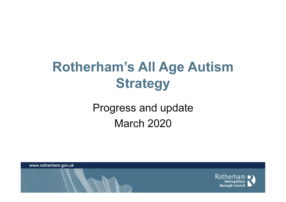## Rotherham's All Age Autism **Strategy**

#### Progress and updateMarch 2020

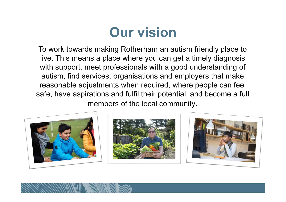#### Our vision

To work towards making Rotherham an autism friendly place to live. This means a place where you can get a timely diagnosis with support, meet professionals with a good understanding of autism, find services, organisations and employers that make reasonable adjustments when required, where people can feel safe, have aspirations and fulfil their potential, and become a full members of the local community.







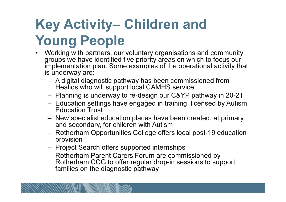# Key Activity– Children and Young People

- Working with partners, our voluntary organisations and community groups we have identified five priority areas on which to focus our implementation plan. Some examples of the operational activity that is underway are:
	- A digital diagnostic pathway has been commissioned from Healios who will support local CAMHS service.
	- Planning is underway to re-design our C&YP pathway in 20-21
	- Education settings have engaged in training. Iicensed by Autis Education settings have engaged in training, licensed by Autism Education Trust
	- New specialist education places have been created, at primary and secondary, for children with Autism
	- – Rotherham Opportunities College offers local post-19 education provision
	- Project S Project Search offers supported internships
	- Rotherham Parent Carers Forum are commissioned by Rotherham CCG to offer regular drop-in sessions to support families on the diagnostic pathway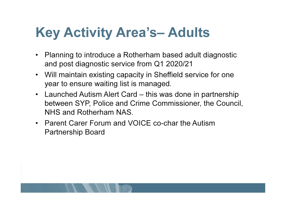#### Key Activity Area's– Adults

- $\bullet$  Planning to introduce a Rotherham based adult diagnostic and post diagnostic service from Q1 2020/21
- Will maintain existing capacity in Sheffield service for one year to ensure waiting list is managed.
- Launched Autism Alert Card this was done in partnership between SYP, Police and Crime Commissioner, the Council, NHS and Rotherham NAS.
- Parent Carer Forum and VOICE co-char the Autism Partnership Board

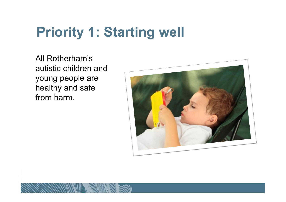#### Priority 1: Starting well

All Rotherham's autistic children and young people are healthy and safe from harm.

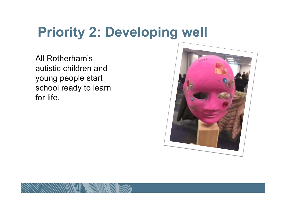### Priority 2: Developing well

All Rotherham's autistic children and young people start school ready to learn for life.

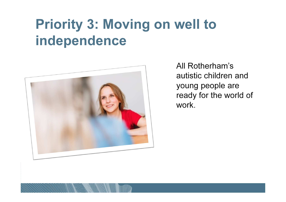### Priority 3: Moving on well to independence



All Rotherham's autistic children and young people are ready for the world of work.

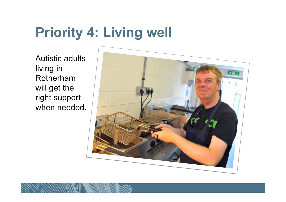### Priority 4: Living well

Autistic adults living in Rotherham will get the right support when needed.

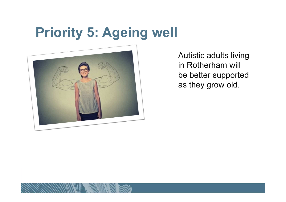#### Priority 5: Ageing well



Autistic adults living in Rotherham will be better supported as they grow old.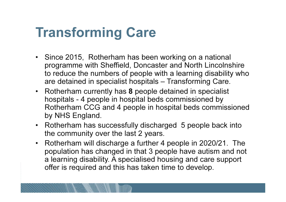### Transforming Care

- Since 2015, Rotherham has been working on a national programme with Sheffield, Doncaster and North Lincolnshire to reduce the numbers of people with a learning disability who are detained in specialist hospitals – Transforming Care.
- Rotherham currently has 8 people detained in specialist hospitals - 4 people in hospital beds commissioned by Rotherham CCG and 4 people in hospital beds commissioned by NHS England.
- Rotherham has successfully discharged 5 people back into the community over the last 2 years.
- • Rotherham will discharge a further 4 people in 2020/21. The population has changed in that 3 people have autism and not a learning disability. A specialised housing and care support offer is required and this has taken time to develop.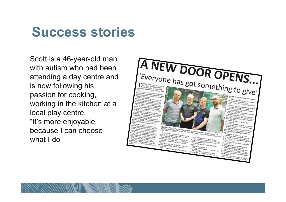#### Success stories

Scott is a 46-year-old man with autism who had been attending a day centre and is now following his passion for cooking, working in the kitchen at a local play centre. "It's more enjoyable because I can choose what I do"

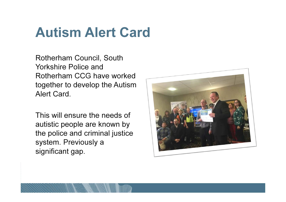#### Autism Alert Card

Rotherham Council, South Yorkshire Police and Rotherham CCG have worked together to develop the Autism Alert Card.

This will ensure the needs of autistic people are known by the police and criminal justice system. Previously a significant gap.



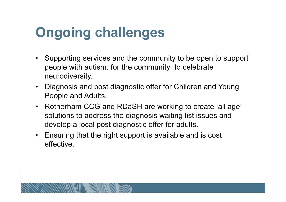### Ongoing challenges

- Supporting services and the community to be open to support people with autism: for the community to celebrateneurodiversity.
- $\bullet$  Diagnosis and post diagnostic offer for Children and Young People and Adults.
- Rotherham CCG and RDaSH are working to create 'all age' solutions to address the diagnosis waiting list issues and develop a local post diagnostic offer for adults.
- Ensuring that the right support is available and is cost effective.